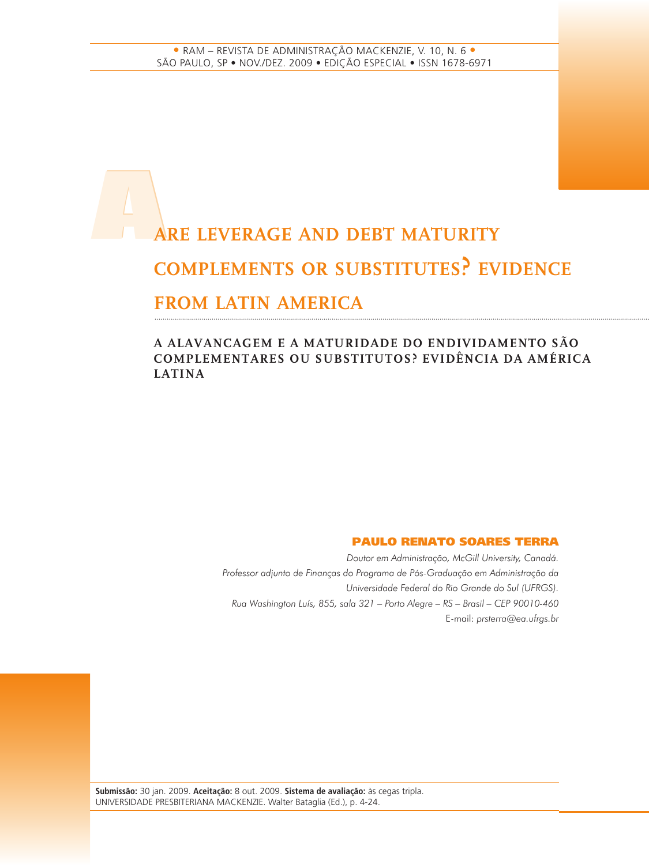# A**ARE LEVERAGE AND DEBT MATURITY COMPLEMENTS OR SUBSTITUTES? EVIDENCE FROM LATIN AMERICA**

#### **A ALAVANCAGEM E A MATURIDADE DO ENDIVIDAMENTO SÃO COMPLEMENTARES OU SUBSTITUTOS? EVIDÊNCIA DA AMÉRICA LATINA**

#### **PAULO RENATO SOARES TERRA**

*Doutor em Administração, McGill University, Canadá. Professor adjunto de Finanças do Programa de Pós-Graduação em Administração da Universidade Federal do Rio Grande do Sul (UFRGS). Rua Washington Luís, 855, sala 321 – Porto Alegre – RS – Brasil – CEP 90010-460* E-mail: *prsterra@ea.ufrgs.br*

**Submissão:** 30 jan. 2009. **Aceitação:** 8 out. 2009. **Sistema de avaliação:** às cegas tripla. UNIVERSIDADE PRESBITERIANA MACKENZIE. Walter Bataglia (Ed.), p. 4-24.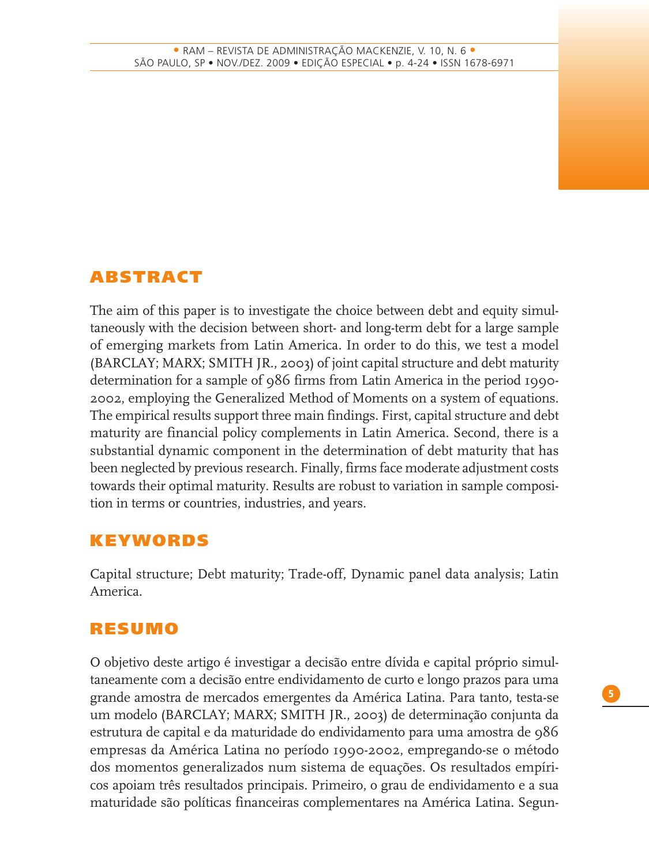# **ABSTRACT**

The aim of this paper is to investigate the choice between debt and equity simultaneously with the decision between short- and long-term debt for a large sample of emerging markets from Latin America. In order to do this, we test a model (BARCLAY; MARX; SMITH JR., 2003) of joint capital structure and debt maturity determination for a sample of 986 firms from Latin America in the period 1990- 2002, employing the Generalized Method of Moments on a system of equations. The empirical results support three main findings. First, capital structure and debt maturity are financial policy complements in Latin America. Second, there is a substantial dynamic component in the determination of debt maturity that has been neglected by previous research. Finally, firms face moderate adjustment costs towards their optimal maturity. Results are robust to variation in sample composition in terms or countries, industries, and years.

# **KEYWORDS**

Capital structure; Debt maturity; Trade-off, Dynamic panel data analysis; Latin America.

# **RESUMO**

O objetivo deste artigo é investigar a decisão entre dívida e capital próprio simultaneamente com a decisão entre endividamento de curto e longo prazos para uma grande amostra de mercados emergentes da América Latina. Para tanto, testa-se um modelo (BARCLAY; MARX; SMITH JR., 2003) de determinação conjunta da estrutura de capital e da maturidade do endividamento para uma amostra de 986 empresas da América Latina no período 1990-2002, empregando-se o método dos momentos generalizados num sistema de equações. Os resultados empíricos apoiam três resultados principais. Primeiro, o grau de endividamento e a sua maturidade são políticas financeiras complementares na América Latina. Segun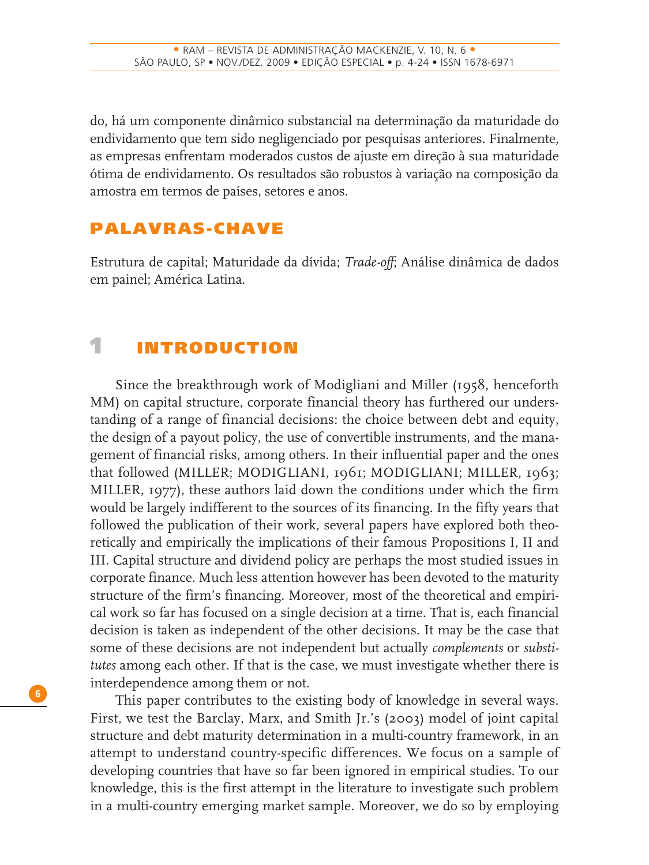do, há um componente dinâmico substancial na determinação da maturidade do endividamento que tem sido negligenciado por pesquisas anteriores. Finalmente, as empresas enfrentam moderados custos de ajuste em direção à sua maturidade ótima de endividamento. Os resultados são robustos à variação na composição da amostra em termos de países, setores e anos.

# **PALAVRAS-CHAVE**

Estrutura de capital; Maturidade da dívida; *Trade-off*; Análise dinâmica de dados em painel; América Latina.

# **1 INTRODUCTION**

Since the breakthrough work of Modigliani and Miller (1958, henceforth MM) on capital structure, corporate financial theory has furthered our understanding of a range of financial decisions: the choice between debt and equity, the design of a payout policy, the use of convertible instruments, and the management of financial risks, among others. In their influential paper and the ones that followed (MILLER; MODIGLIANI, 1961; MODIGLIANI; MILLER, 1963; MILLER, 1977), these authors laid down the conditions under which the firm would be largely indifferent to the sources of its financing. In the fifty years that followed the publication of their work, several papers have explored both theoretically and empirically the implications of their famous Propositions I, II and III. Capital structure and dividend policy are perhaps the most studied issues in corporate finance. Much less attention however has been devoted to the maturity structure of the firm's financing. Moreover, most of the theoretical and empirical work so far has focused on a single decision at a time. That is, each financial decision is taken as independent of the other decisions. It may be the case that some of these decisions are not independent but actually *complements* or *substitutes* among each other. If that is the case, we must investigate whether there is interdependence among them or not.

This paper contributes to the existing body of knowledge in several ways. First, we test the Barclay, Marx, and Smith Jr.'s (2003) model of joint capital structure and debt maturity determination in a multi-country framework, in an attempt to understand country-specific differences. We focus on a sample of developing countries that have so far been ignored in empirical studies. To our knowledge, this is the first attempt in the literature to investigate such problem in a multi-country emerging market sample. Moreover, we do so by employing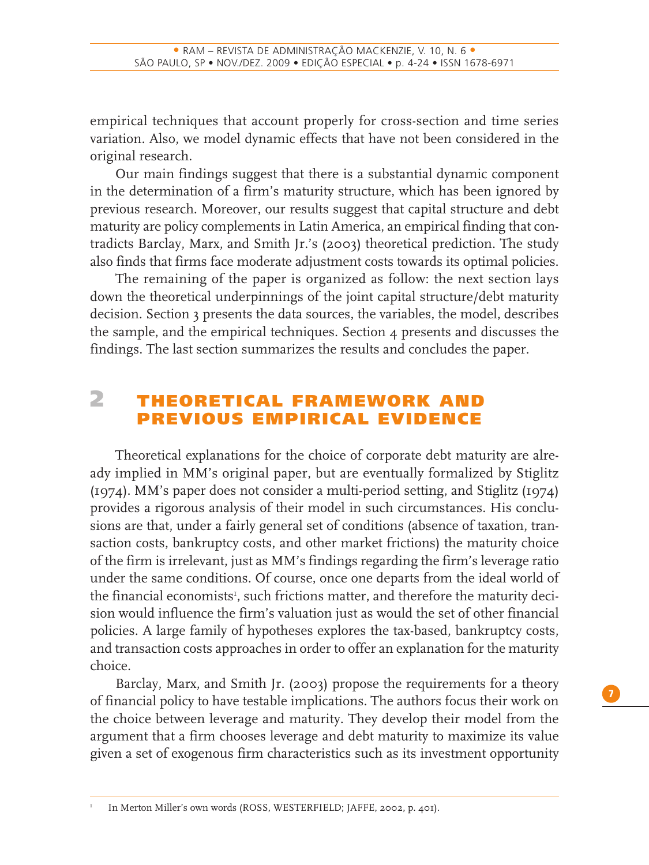empirical techniques that account properly for cross-section and time series variation. Also, we model dynamic effects that have not been considered in the original research.

Our main findings suggest that there is a substantial dynamic component in the determination of a firm's maturity structure, which has been ignored by previous research. Moreover, our results suggest that capital structure and debt maturity are policy complements in Latin America, an empirical finding that contradicts Barclay, Marx, and Smith Jr.'s (2003) theoretical prediction. The study also finds that firms face moderate adjustment costs towards its optimal policies.

The remaining of the paper is organized as follow: the next section lays down the theoretical underpinnings of the joint capital structure/debt maturity decision. Section 3 presents the data sources, the variables, the model, describes the sample, and the empirical techniques. Section 4 presents and discusses the findings. The last section summarizes the results and concludes the paper.

# **2 THEORETICAL FRAMEWORK AND PREVIOUS EMPIRICAL EVIDENCE**

Theoretical explanations for the choice of corporate debt maturity are already implied in MM's original paper, but are eventually formalized by Stiglitz (1974). MM's paper does not consider a multi-period setting, and Stiglitz (1974) provides a rigorous analysis of their model in such circumstances. His conclusions are that, under a fairly general set of conditions (absence of taxation, transaction costs, bankruptcy costs, and other market frictions) the maturity choice of the firm is irrelevant, just as MM's findings regarding the firm's leverage ratio under the same conditions. Of course, once one departs from the ideal world of the financial economists<sup>1</sup>, such frictions matter, and therefore the maturity decision would influence the firm's valuation just as would the set of other financial policies. A large family of hypotheses explores the tax-based, bankruptcy costs, and transaction costs approaches in order to offer an explanation for the maturity choice.

Barclay, Marx, and Smith Jr. (2003) propose the requirements for a theory of financial policy to have testable implications. The authors focus their work on the choice between leverage and maturity. They develop their model from the argument that a firm chooses leverage and debt maturity to maximize its value given a set of exogenous firm characteristics such as its investment opportunity

<sup>1</sup> In Merton Miller's own words (ROSS, WESTERFIELD; JAFFE, 2002, p. 401).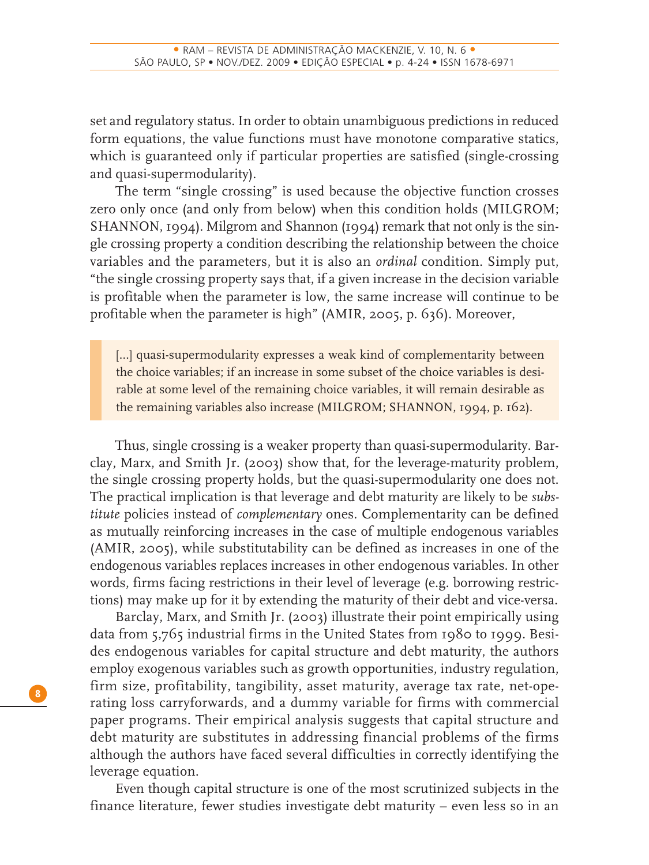set and regulatory status. In order to obtain unambiguous predictions in reduced form equations, the value functions must have monotone comparative statics, which is guaranteed only if particular properties are satisfied (single-crossing and quasi-supermodularity).

The term "single crossing" is used because the objective function crosses zero only once (and only from below) when this condition holds (MILGROM; SHANNON, 1994). Milgrom and Shannon (1994) remark that not only is the single crossing property a condition describing the relationship between the choice variables and the parameters, but it is also an *ordinal* condition. Simply put, "the single crossing property says that, if a given increase in the decision variable is profitable when the parameter is low, the same increase will continue to be profitable when the parameter is high" (AMIR, 2005, p. 636). Moreover,

[...] quasi-supermodularity expresses a weak kind of complementarity between the choice variables; if an increase in some subset of the choice variables is desirable at some level of the remaining choice variables, it will remain desirable as the remaining variables also increase (MILGROM; SHANNON, 1994, p. 162).

Thus, single crossing is a weaker property than quasi-supermodularity. Barclay, Marx, and Smith Jr. (2003) show that, for the leverage-maturity problem, the single crossing property holds, but the quasi-supermodularity one does not. The practical implication is that leverage and debt maturity are likely to be *substitute* policies instead of *complementary* ones. Complementarity can be defined as mutually reinforcing increases in the case of multiple endogenous variables (AMIR, 2005), while substitutability can be defined as increases in one of the endogenous variables replaces increases in other endogenous variables. In other words, firms facing restrictions in their level of leverage (e.g. borrowing restrictions) may make up for it by extending the maturity of their debt and vice-versa.

Barclay, Marx, and Smith Jr. (2003) illustrate their point empirically using data from 5,765 industrial firms in the United States from 1980 to 1999. Besides endogenous variables for capital structure and debt maturity, the authors employ exogenous variables such as growth opportunities, industry regulation, firm size, profitability, tangibility, asset maturity, average tax rate, net-operating loss carryforwards, and a dummy variable for firms with commercial paper programs. Their empirical analysis suggests that capital structure and debt maturity are substitutes in addressing financial problems of the firms although the authors have faced several difficulties in correctly identifying the leverage equation.

Even though capital structure is one of the most scrutinized subjects in the finance literature, fewer studies investigate debt maturity – even less so in an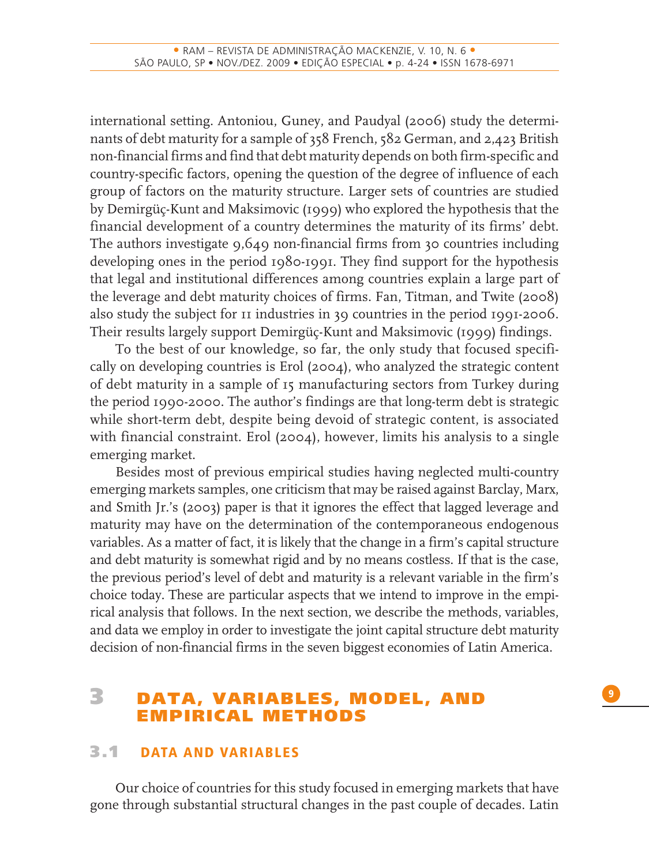international setting. Antoniou, Guney, and Paudyal (2006) study the determinants of debt maturity for a sample of 358 French, 582 German, and 2,423 British non-financial firms and find that debt maturity depends on both firm-specific and country-specific factors, opening the question of the degree of influence of each group of factors on the maturity structure. Larger sets of countries are studied by Demirgüç-Kunt and Maksimovic (1999) who explored the hypothesis that the financial development of a country determines the maturity of its firms' debt. The authors investigate 9,649 non-financial firms from 30 countries including developing ones in the period 1980-1991. They find support for the hypothesis that legal and institutional differences among countries explain a large part of the leverage and debt maturity choices of firms. Fan, Titman, and Twite (2008) also study the subject for 11 industries in 39 countries in the period 1991-2006. Their results largely support Demirgüç-Kunt and Maksimovic (1999) findings.

To the best of our knowledge, so far, the only study that focused specifically on developing countries is Erol (2004), who analyzed the strategic content of debt maturity in a sample of 15 manufacturing sectors from Turkey during the period 1990-2000. The author's findings are that long-term debt is strategic while short-term debt, despite being devoid of strategic content, is associated with financial constraint. Erol (2004), however, limits his analysis to a single emerging market.

Besides most of previous empirical studies having neglected multi-country emerging markets samples, one criticism that may be raised against Barclay, Marx, and Smith Jr.'s (2003) paper is that it ignores the effect that lagged leverage and maturity may have on the determination of the contemporaneous endogenous variables. As a matter of fact, it is likely that the change in a firm's capital structure and debt maturity is somewhat rigid and by no means costless. If that is the case, the previous period's level of debt and maturity is a relevant variable in the firm's choice today. These are particular aspects that we intend to improve in the empirical analysis that follows. In the next section, we describe the methods, variables, and data we employ in order to investigate the joint capital structure debt maturity decision of non-financial firms in the seven biggest economies of Latin America.

# **3 DATA, VARIABLES, MODEL, AND EMPIRICAL METHODS**

### **3.1 DATA AND VARIABLES**

Our choice of countries for this study focused in emerging markets that have gone through substantial structural changes in the past couple of decades. Latin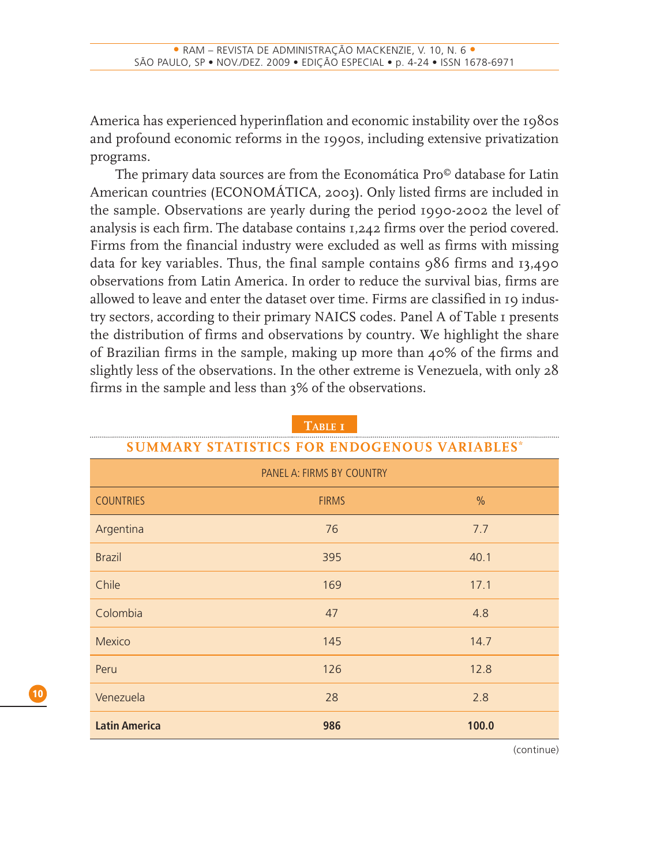America has experienced hyperinflation and economic instability over the 1980s and profound economic reforms in the 1990s, including extensive privatization programs.

The primary data sources are from the Economática Pro© database for Latin American countries (ECONOMÁTICA, 2003). Only listed firms are included in the sample. Observations are yearly during the period 1990-2002 the level of analysis is each firm. The database contains 1,242 firms over the period covered. Firms from the financial industry were excluded as well as firms with missing data for key variables. Thus, the final sample contains 986 firms and 13,490 observations from Latin America. In order to reduce the survival bias, firms are allowed to leave and enter the dataset over time. Firms are classified in 19 industry sectors, according to their primary NAICS codes. Panel A of Table 1 presents the distribution of firms and observations by country. We highlight the share of Brazilian firms in the sample, making up more than 40% of the firms and slightly less of the observations. In the other extreme is Venezuela, with only 28 firms in the sample and less than 3% of the observations.

| <b>SUMMARY STATISTICS FOR ENDOGENOUS VARIABLES*</b> |              |       |  |  |  |  |
|-----------------------------------------------------|--------------|-------|--|--|--|--|
| PANEL A: FIRMS BY COUNTRY                           |              |       |  |  |  |  |
| <b>COUNTRIES</b>                                    | <b>FIRMS</b> | $\%$  |  |  |  |  |
| Argentina                                           | 76           | 7.7   |  |  |  |  |
| <b>Brazil</b>                                       | 395          | 40.1  |  |  |  |  |
| Chile                                               | 169          | 17.1  |  |  |  |  |
| Colombia                                            | 47           | 4.8   |  |  |  |  |
| <b>Mexico</b>                                       | 145          | 14.7  |  |  |  |  |
| Peru                                                | 126          | 12.8  |  |  |  |  |
| Venezuela                                           | 28           | 2.8   |  |  |  |  |
| <b>Latin America</b>                                | 986          | 100.0 |  |  |  |  |

**TABLE 1**

(continue)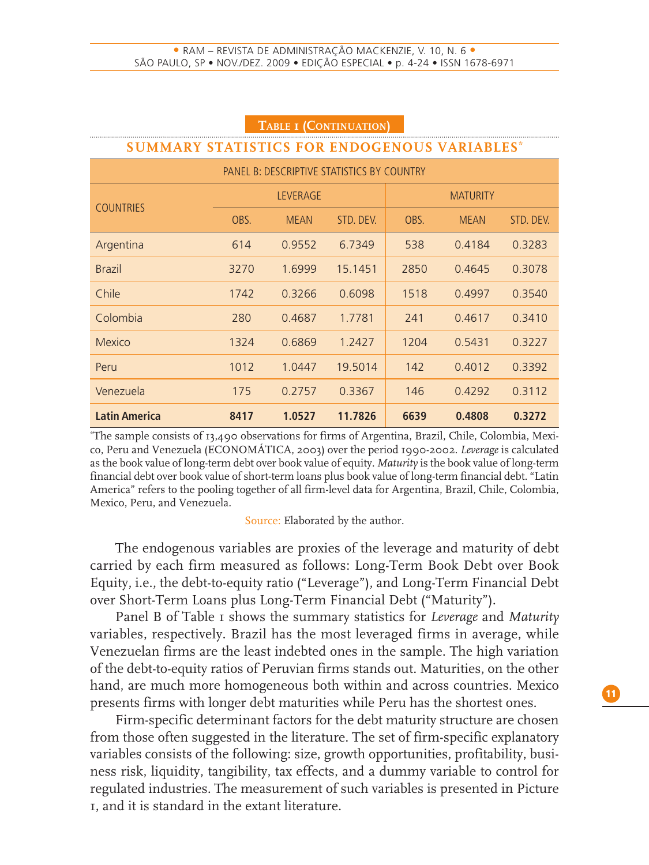| <b>IADLE I (CONTINUATION)</b>                       |      |             |           |      |                 |           |  |  |
|-----------------------------------------------------|------|-------------|-----------|------|-----------------|-----------|--|--|
| <b>SUMMARY STATISTICS FOR ENDOGENOUS VARIABLES*</b> |      |             |           |      |                 |           |  |  |
| PANEL B: DESCRIPTIVE STATISTICS BY COUNTRY          |      |             |           |      |                 |           |  |  |
| <b>COUNTRIES</b>                                    |      | LEVERAGE    |           |      | <b>MATURITY</b> |           |  |  |
|                                                     | OBS. | <b>MEAN</b> | STD. DEV. | OBS. | <b>MEAN</b>     | STD. DEV. |  |  |
| Argentina                                           | 614  | 0.9552      | 6.7349    | 538  | 0.4184          | 0.3283    |  |  |
| <b>Brazil</b>                                       | 3270 | 1.6999      | 15.1451   | 2850 | 0.4645          | 0.3078    |  |  |
| Chile                                               | 1742 | 0.3266      | 0.6098    | 1518 | 0.4997          | 0.3540    |  |  |
| Colombia                                            | 280  | 0.4687      | 1.7781    | 241  | 0.4617          | 0.3410    |  |  |
| Mexico                                              | 1324 | 0.6869      | 1.2427    | 1204 | 0.5431          | 0.3227    |  |  |
| Peru                                                | 1012 | 1 0447      | 19.5014   | 142  | 0.4012          | 0.3392    |  |  |
| Venezuela                                           | 175  | 0.2757      | 0.3367    | 146  | 0.4292          | 0.3112    |  |  |
| <b>Latin America</b>                                | 8417 | 1.0527      | 11.7826   | 6639 | 0.4808          | 0.3272    |  |  |

\* The sample consists of 13,490 observations for firms of Argentina, Brazil, Chile, Colombia, Mexico, Peru and Venezuela (ECONOMÁTICA, 2003) over the period 1990-2002. *Leverage* is calculated as the book value of long-term debt over book value of equity. *Maturity* is the book value of long-term financial debt over book value of short-term loans plus book value of long-term financial debt. "Latin America" refers to the pooling together of all firm-level data for Argentina, Brazil, Chile, Colombia, Mexico, Peru, and Venezuela.

#### Source: Elaborated by the author.

The endogenous variables are proxies of the leverage and maturity of debt carried by each firm measured as follows: Long-Term Book Debt over Book Equity, i.e., the debt-to-equity ratio ("Leverage"), and Long-Term Financial Debt over Short-Term Loans plus Long-Term Financial Debt ("Maturity").

Panel B of Table 1 shows the summary statistics for *Leverage* and *Maturity* variables, respectively. Brazil has the most leveraged firms in average, while Venezuelan firms are the least indebted ones in the sample. The high variation of the debt-to-equity ratios of Peruvian firms stands out. Maturities, on the other hand, are much more homogeneous both within and across countries. Mexico presents firms with longer debt maturities while Peru has the shortest ones.

Firm-specific determinant factors for the debt maturity structure are chosen from those often suggested in the literature. The set of firm-specific explanatory variables consists of the following: size, growth opportunities, profitability, business risk, liquidity, tangibility, tax effects, and a dummy variable to control for regulated industries. The measurement of such variables is presented in Picture 1, and it is standard in the extant literature.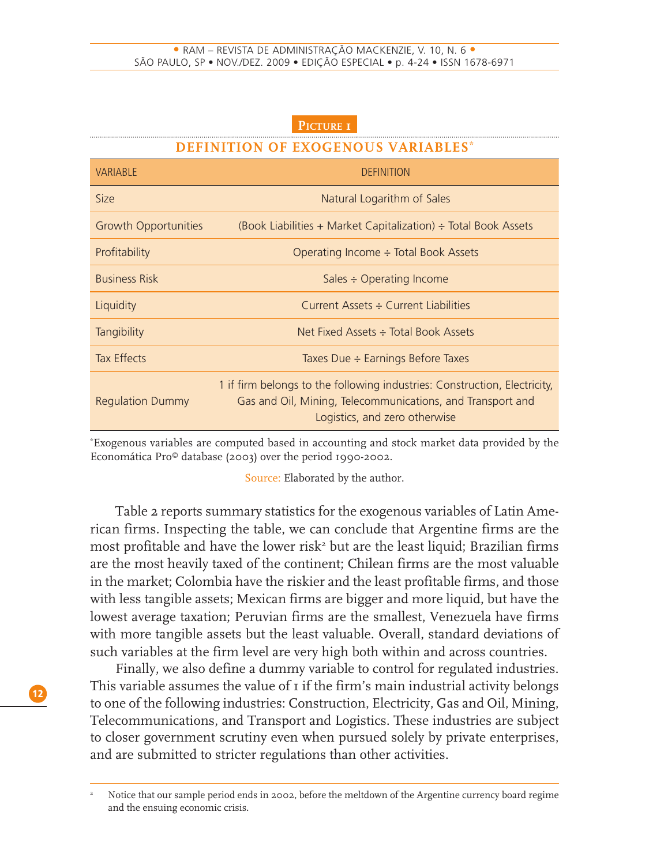#### **PICTURE 1**

#### **DEFINITION OF EXOGENOUS VARIABLES**

| <b>VARIABLE</b>         | DEFINITION                                                                                                                                                               |
|-------------------------|--------------------------------------------------------------------------------------------------------------------------------------------------------------------------|
| <b>Size</b>             | Natural Logarithm of Sales                                                                                                                                               |
| Growth Opportunities    | (Book Liabilities + Market Capitalization) $\div$ Total Book Assets                                                                                                      |
| Profitability           | Operating Income $\div$ Total Book Assets                                                                                                                                |
| <b>Business Risk</b>    | Sales $\div$ Operating Income                                                                                                                                            |
| Liquidity               | Current Assets ÷ Current Liabilities                                                                                                                                     |
| Tangibility             | Net Fixed Assets : Total Book Assets                                                                                                                                     |
| <b>Tax Effects</b>      | Taxes Due $\div$ Earnings Before Taxes                                                                                                                                   |
| <b>Regulation Dummy</b> | 1 if firm belongs to the following industries: Construction, Electricity,<br>Gas and Oil, Mining, Telecommunications, and Transport and<br>Logistics, and zero otherwise |

\* Exogenous variables are computed based in accounting and stock market data provided by the Economática Pro© database (2003) over the period 1990-2002.

Source: Elaborated by the author.

Table 2 reports summary statistics for the exogenous variables of Latin American firms. Inspecting the table, we can conclude that Argentine firms are the most profitable and have the lower risk $^{\circ}$  but are the least liquid; Brazilian firms are the most heavily taxed of the continent; Chilean firms are the most valuable in the market; Colombia have the riskier and the least profitable firms, and those with less tangible assets; Mexican firms are bigger and more liquid, but have the lowest average taxation; Peruvian firms are the smallest, Venezuela have firms with more tangible assets but the least valuable. Overall, standard deviations of such variables at the firm level are very high both within and across countries.

Finally, we also define a dummy variable to control for regulated industries. This variable assumes the value of 1 if the firm's main industrial activity belongs to one of the following industries: Construction, Electricity, Gas and Oil, Mining, Telecommunications, and Transport and Logistics. These industries are subject to closer government scrutiny even when pursued solely by private enterprises, and are submitted to stricter regulations than other activities.

<sup>2</sup> Notice that our sample period ends in 2002, before the meltdown of the Argentine currency board regime and the ensuing economic crisis.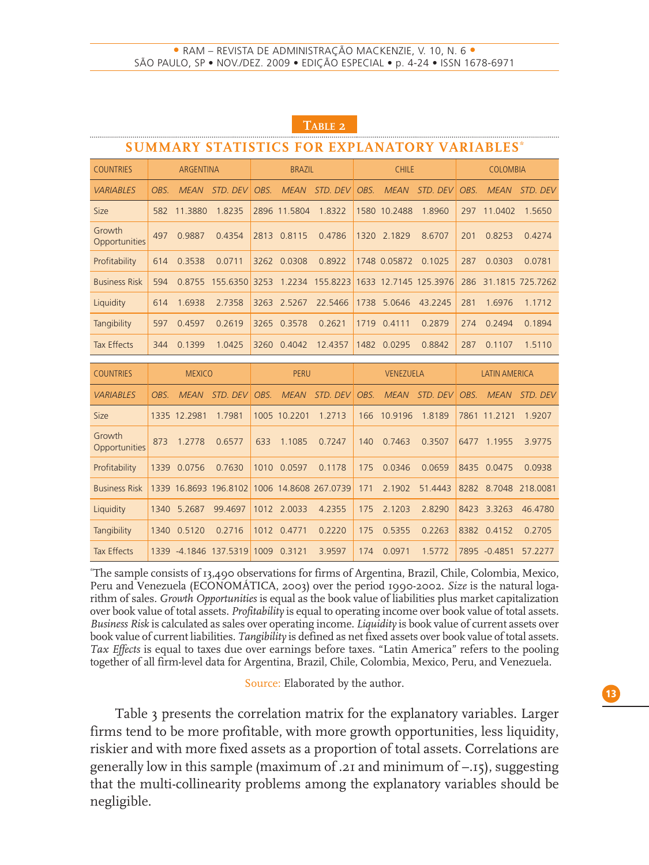| <b>SUMMARY STATISTICS FOR EXPLANATORY VARIABLES*</b> |      |                  |                       |      |                               |                       |      |              |                       |      |                      |                  |
|------------------------------------------------------|------|------------------|-----------------------|------|-------------------------------|-----------------------|------|--------------|-----------------------|------|----------------------|------------------|
| <b>COUNTRIES</b>                                     |      | <b>ARGENTINA</b> |                       |      | <b>CHILE</b><br><b>BRAZIL</b> |                       |      | COLOMBIA     |                       |      |                      |                  |
| <b>VARIABLES</b>                                     | OBS. | <b>MEAN</b>      | STD. DEV              | OBS. | <b>MEAN</b>                   | STD. DEV              | OBS. | <b>MEAN</b>  | STD, DEV              | OBS. | <b>MEAN</b>          | STD. DEV         |
| Size                                                 | 582  | 11.3880          | 1.8235                |      | 2896 11.5804                  | 1.8322                |      | 1580 10.2488 | 1.8960                | 297  | 11.0402              | 1.5650           |
| Growth<br>Opportunities                              | 497  | 0.9887           | 0.4354                |      | 2813 0.8115                   | 0.4786                |      | 1320 2.1829  | 8.6707                | 201  | 0.8253               | 0.4274           |
| Profitability                                        | 614  | 0.3538           | 0.0711                |      | 3262 0.0308                   | 0.8922                |      | 1748 0.05872 | 0.1025                | 287  | 0.0303               | 0.0781           |
| <b>Business Risk</b>                                 | 594  | 0.8755           | 155.6350              | 3253 | 1.2234                        | 155.8223              |      |              | 1633 12.7145 125.3976 | 286  |                      | 31.1815 725.7262 |
| Liquidity                                            | 614  | 1.6938           | 2.7358                |      | 3263 2.5267                   | 22.5466               | 1738 | 5.0646       | 43.2245               | 281  | 1.6976               | 1.1712           |
| Tangibility                                          | 597  | 0.4597           | 0.2619                | 3265 | 0.3578                        | 0.2621                | 1719 | 0.4111       | 0.2879                | 274  | 0.2494               | 0.1894           |
| <b>Tax Effects</b>                                   | 344  | 0.1399           | 1.0425                | 3260 | 0.4042                        | 12.4357               | 1482 | 0.0295       | 0.8842                | 287  | 0.1107               | 1.5110           |
| <b>COUNTRIES</b>                                     |      | <b>MEXICO</b>    |                       |      | <b>PERU</b>                   |                       |      | VENEZUELA    |                       |      | <b>LATIN AMERICA</b> |                  |
| <b>VARIABLES</b>                                     | OBS. | <b>MEAN</b>      | STD. DEV              | OBS. | <b>MEAN</b>                   | STD, DEV              | OBS. | <b>MEAN</b>  | STD, DEV              | OBS. | <b>MEAN</b>          | STD, DEV         |
| Size                                                 |      | 1335 12.2981     | 1.7981                |      | 1005 10.2201                  | 1.2713                | 166  | 10.9196      | 1.8189                |      | 7861 11.2121         | 1.9207           |
| Growth<br>Opportunities                              | 873  | 1.2778           | 0.6577                | 633  | 1.1085                        | 0.7247                | 140  | 0.7463       | 0.3507                | 6477 | 1.1955               | 3.9775           |
| Profitability                                        | 1339 | 0.0756           | 0.7630                |      | 1010 0.0597                   | 0.1178                | 175  | 0.0346       | 0.0659                | 8435 | 0.0475               | 0.0938           |
| <b>Business Risk</b>                                 |      |                  | 1339 16.8693 196.8102 |      |                               | 1006 14.8608 267.0739 | 171  | 2.1902       | 51.4443               |      | 8282 8.7048          | 218,0081         |
| Liquidity                                            | 1340 | 5.2687           | 99.4697               |      | 1012 2.0033                   | 4.2355                | 175  | 2.1203       | 2.8290                | 8423 | 3.3263               | 46.4780          |
| Tangibility                                          | 1340 | 0.5120           | 0.2716                |      | 1012 0.4771                   | 0.2220                | 175  | 0.5355       | 0.2263                | 8382 | 0.4152               | 0.2705           |
| <b>Tax Effects</b>                                   |      |                  | 1339 -4.1846 137.5319 |      | 1009 0.3121                   | 3.9597                | 174  | 0.0971       | 1.5772                |      | 7895 -0.4851         | 57.2277          |

#### **TABLE 2**

\* The sample consists of 13,490 observations for firms of Argentina, Brazil, Chile, Colombia, Mexico, Peru and Venezuela (ECONOMÁTICA, 2003) over the period 1990-2002. *Size* is the natural logarithm of sales. *Growth Opportunities* is equal as the book value of liabilities plus market capitalization over book value of total assets. *Profitability* is equal to operating income over book value of total assets. *Business Risk* is calculated as sales over operating income. *Liquidity* is book value of current assets over book value of current liabilities. *Tangibility* is defined as net fixed assets over book value of total assets. *Tax Effects* is equal to taxes due over earnings before taxes. "Latin America" refers to the pooling together of all firm-level data for Argentina, Brazil, Chile, Colombia, Mexico, Peru, and Venezuela.

Source: Elaborated by the author.

Table 3 presents the correlation matrix for the explanatory variables. Larger firms tend to be more profitable, with more growth opportunities, less liquidity, riskier and with more fixed assets as a proportion of total assets. Correlations are generally low in this sample (maximum of .21 and minimum of –.15), suggesting that the multi-collinearity problems among the explanatory variables should be negligible.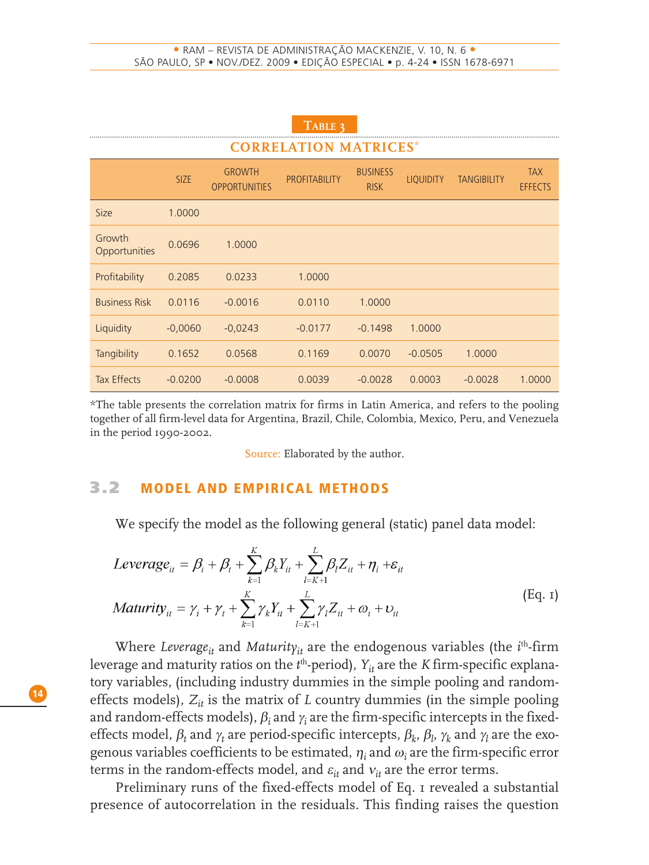| TABLE 3<br><b>CORRELATION MATRICES*</b> |             |                                       |                      |                                |                  |                    |                              |
|-----------------------------------------|-------------|---------------------------------------|----------------------|--------------------------------|------------------|--------------------|------------------------------|
|                                         | <b>SIZE</b> | <b>GROWTH</b><br><b>OPPORTUNITIES</b> | <b>PROFITABILITY</b> | <b>BUSINESS</b><br><b>RISK</b> | <b>LIQUIDITY</b> | <b>TANGIBILITY</b> | <b>TAX</b><br><b>EFFECTS</b> |
| <b>Size</b>                             | 1.0000      |                                       |                      |                                |                  |                    |                              |
| Growth<br>Opportunities                 | 0.0696      | 1.0000                                |                      |                                |                  |                    |                              |
| Profitability                           | 0.2085      | 0.0233                                | 1.0000               |                                |                  |                    |                              |
| <b>Business Risk</b>                    | 0.0116      | $-0.0016$                             | 0.0110               | 1.0000                         |                  |                    |                              |
| Liquidity                               | $-0,0060$   | $-0,0243$                             | $-0.0177$            | $-0.1498$                      | 1.0000           |                    |                              |
| Tangibility                             | 0.1652      | 0.0568                                | 0.1169               | 0.0070                         | $-0.0505$        | 1.0000             |                              |
| <b>Tax Effects</b>                      | $-0.0200$   | $-0.0008$                             | 0.0039               | $-0.0028$                      | 0.0003           | $-0.0028$          | 1.0000                       |

\*The table presents the correlation matrix for firms in Latin America, and refers to the pooling together of all firm-level data for Argentina, Brazil, Chile, Colombia, Mexico, Peru, and Venezuela in the period 1990-2002.

Source: Elaborated by the author.

#### **3.2 MODEL AND EMPIRICAL METHODS**

We specify the model as the following general (static) panel data model:

$$
Leverage_{it} = \beta_i + \beta_t + \sum_{k=1}^{K} \beta_k Y_{it} + \sum_{l=K+1}^{L} \beta_l Z_{it} + \eta_i + \varepsilon_{it}
$$
  
\n
$$
Maturity_{it} = \gamma_i + \gamma_t + \sum_{k=1}^{K} \gamma_k Y_{it} + \sum_{l=K+1}^{L} \gamma_l Z_{it} + \omega_i + \upsilon_{it}
$$
 (Eq. 1)

Where *Leverage<sub>it</sub>* and *Maturity<sub>it</sub>* are the endogenous variables (the *i*<sup>th</sup>-firm leverage and maturity ratios on the  $t^{\text{th}}$ -period),  $Y_{it}$  are the *K* firm-specific explanatory variables, (including industry dummies in the simple pooling and randomeffects models),  $Z_{it}$  is the matrix of *L* country dummies (in the simple pooling and random-effects models),  $\beta_i$  and  $\gamma_i$  are the firm-specific intercepts in the fixedeffects model,  $\beta_t$  and  $\gamma_t$  are period-specific intercepts,  $\beta_k$ ,  $\beta_l$ ,  $\gamma_k$  and  $\gamma_l$  are the exogenous variables coefficients to be estimated,  $\eta_i$  and  $\omega_i$  are the firm-specific error terms in the random-effects model, and  $\varepsilon_{it}$  and  $v_{it}$  are the error terms.

Preliminary runs of the fixed-effects model of Eq. 1 revealed a substantial presence of autocorrelation in the residuals. This finding raises the question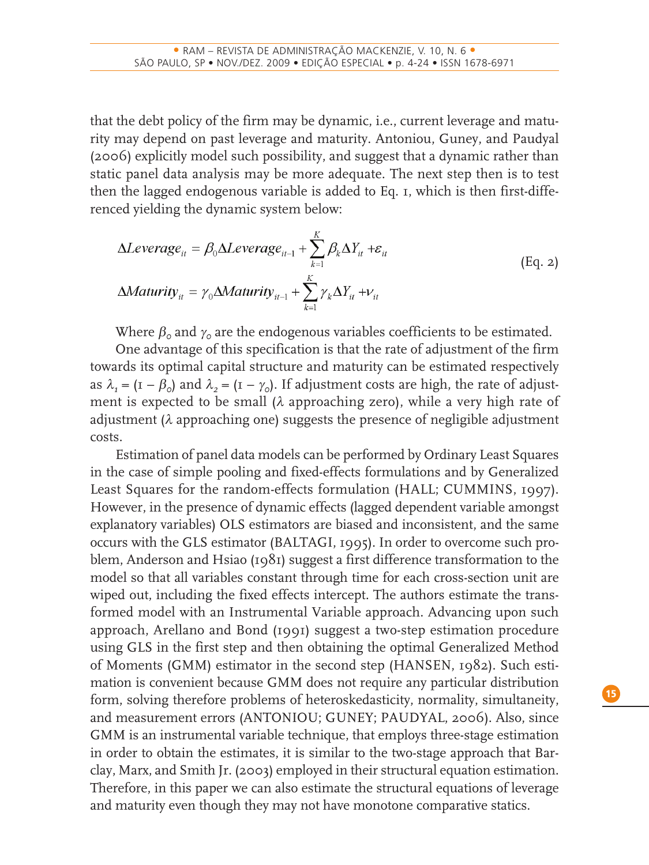that the debt policy of the firm may be dynamic, i.e., current leverage and maturity may depend on past leverage and maturity. Antoniou, Guney, and Paudyal (2006) explicitly model such possibility, and suggest that a dynamic rather than static panel data analysis may be more adequate. The next step then is to test then the lagged endogenous variable is added to Eq. 1, which is then first-differenced yielding the dynamic system below:

$$
\Delta Leverage_{it} = \beta_0 \Delta Leverage_{it-1} + \sum_{k=1}^{K} \beta_k \Delta Y_{it} + \varepsilon_{it}
$$
  
\n
$$
\Delta Matrixity_{it} = \gamma_0 \Delta Matrixity_{it-1} + \sum_{k=1}^{K} \gamma_k \Delta Y_{it} + \nu_{it}
$$
 (Eq. 2)

Where  $\beta_0$  and  $\gamma_0$  are the endogenous variables coefficients to be estimated.

One advantage of this specification is that the rate of adjustment of the firm towards its optimal capital structure and maturity can be estimated respectively as  $\lambda_1 = (I - \beta_0)$  and  $\lambda_2 = (I - \gamma_0)$ . If adjustment costs are high, the rate of adjustment is expected to be small ( $\lambda$  approaching zero), while a very high rate of adjustment  $(\lambda$  approaching one) suggests the presence of negligible adjustment costs.

Estimation of panel data models can be performed by Ordinary Least Squares in the case of simple pooling and fixed-effects formulations and by Generalized Least Squares for the random-effects formulation (HALL; CUMMINS, 1997). However, in the presence of dynamic effects (lagged dependent variable amongst explanatory variables) OLS estimators are biased and inconsistent, and the same occurs with the GLS estimator (BALTAGI, 1995). In order to overcome such problem, Anderson and Hsiao (1981) suggest a first difference transformation to the model so that all variables constant through time for each cross-section unit are wiped out, including the fixed effects intercept. The authors estimate the transformed model with an Instrumental Variable approach. Advancing upon such approach, Arellano and Bond (1991) suggest a two-step estimation procedure using GLS in the first step and then obtaining the optimal Generalized Method of Moments (GMM) estimator in the second step (HANSEN, 1982). Such estimation is convenient because GMM does not require any particular distribution form, solving therefore problems of heteroskedasticity, normality, simultaneity, and measurement errors (ANTONIOU; GUNEY; PAUDYAL, 2006). Also, since GMM is an instrumental variable technique, that employs three-stage estimation in order to obtain the estimates, it is similar to the two-stage approach that Barclay, Marx, and Smith Jr. (2003) employed in their structural equation estimation. Therefore, in this paper we can also estimate the structural equations of leverage and maturity even though they may not have monotone comparative statics.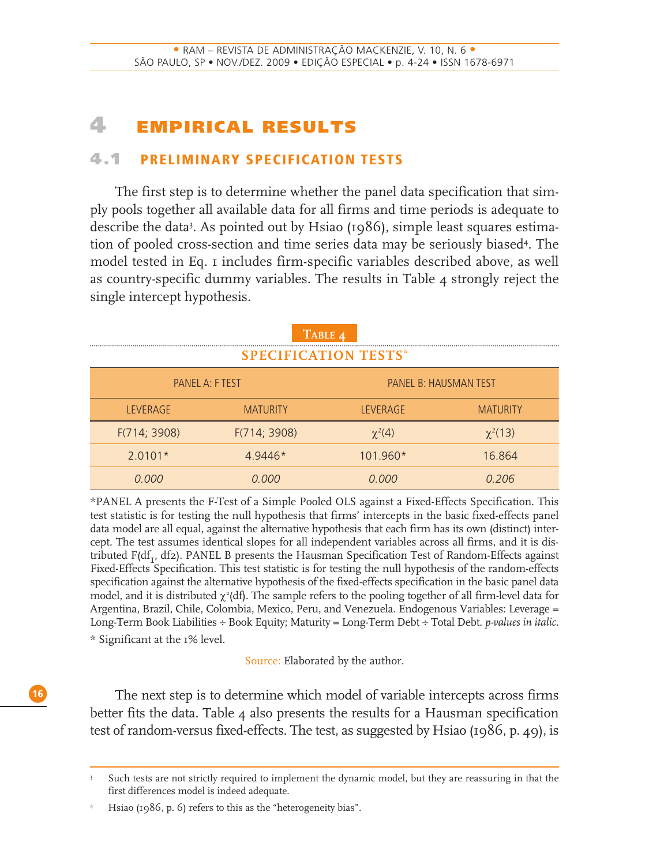# **4 EMP IR ICAL RESULTS**

#### **4.1 PRELIMINARY SPECIFICATION TESTS**

The first step is to determine whether the panel data specification that simply pools together all available data for all firms and time periods is adequate to describe the data3 . As pointed out by Hsiao (1986), simple least squares estimation of pooled cross-section and time series data may be seriously biased4 . The model tested in Eq. 1 includes firm-specific variables described above, as well as country-specific dummy variables. The results in Table 4 strongly reject the single intercept hypothesis.

|                             | TABLE 4         |                              |                 |  |  |  |
|-----------------------------|-----------------|------------------------------|-----------------|--|--|--|
| <b>SPECIFICATION TESTS*</b> |                 |                              |                 |  |  |  |
| PANEL A: F TEST             |                 | <b>PANEL B: HAUSMAN TEST</b> |                 |  |  |  |
| <b>LEVERAGE</b>             | <b>MATURITY</b> | LEVERAGE                     | <b>MATURITY</b> |  |  |  |
| F(714; 3908)                | F(714; 3908)    | $\chi^2(4)$                  | $\chi^2(13)$    |  |  |  |
| $2.0101*$                   | $49446*$        | $101.960*$                   | 16.864          |  |  |  |
| O OOO                       | O 000           | N NOU                        | 0.206           |  |  |  |

\*PANEL A presents the F-Test of a Simple Pooled OLS against a Fixed-Effects Specification. This test statistic is for testing the null hypothesis that firms' intercepts in the basic fixed-effects panel data model are all equal, against the alternative hypothesis that each firm has its own (distinct) intercept. The test assumes identical slopes for all independent variables across all firms, and it is distributed  $F(df_T, df_2)$ . PANEL B presents the Hausman Specification Test of Random-Effects against Fixed-Effects Specification. This test statistic is for testing the null hypothesis of the random-effects specification against the alternative hypothesis of the fixed-effects specification in the basic panel data model, and it is distributed  $\chi^2$ (df). The sample refers to the pooling together of all firm-level data for Argentina, Brazil, Chile, Colombia, Mexico, Peru, and Venezuela. Endogenous Variables: Leverage = Long-Term Book Liabilities ÷ Book Equity; Maturity = Long-Term Debt ÷ Total Debt. *p-values in italic*. \* Significant at the 1% level.

Source: Elaborated by the author.

The next step is to determine which model of variable intercepts across firms better fits the data. Table  $\mu$  also presents the results for a Hausman specification test of random-versus fixed-effects. The test, as suggested by Hsiao (1986, p. 49), is

<sup>3</sup> Such tests are not strictly required to implement the dynamic model, but they are reassuring in that the first differences model is indeed adequate.

<sup>4</sup> Hsiao (1986, p. 6) refers to this as the "heterogeneity bias".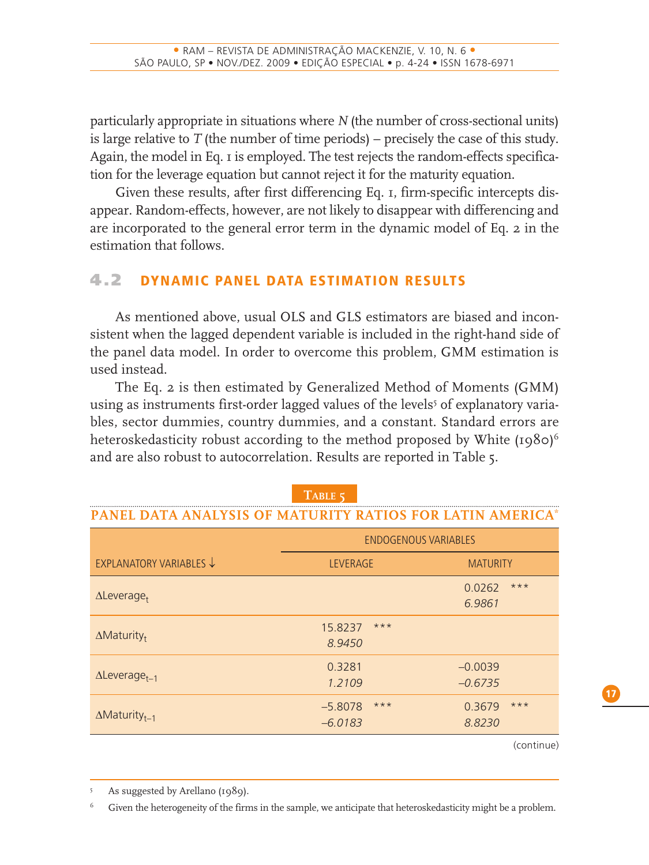particularly appropriate in situations where *N* (the number of cross-sectional units) is large relative to *T* (the number of time periods) – precisely the case of this study. Again, the model in Eq. 1 is employed. The test rejects the random-effects specification for the leverage equation but cannot reject it for the maturity equation.

Given these results, after first differencing Eq. 1, firm-specific intercepts disappear. Random-effects, however, are not likely to disappear with differencing and are incorporated to the general error term in the dynamic model of Eq. 2 in the estimation that follows.

# **4.2 DYNAMIC PANEL DATA ESTIMATION RESULTS**

As mentioned above, usual OLS and GLS estimators are biased and inconsistent when the lagged dependent variable is included in the right-hand side of the panel data model. In order to overcome this problem, GMM estimation is used instead.

The Eq. 2 is then estimated by Generalized Method of Moments (GMM) using as instruments first-order lagged values of the levels<sup>5</sup> of explanatory variables, sector dummies, country dummies, and a constant. Standard errors are heteroskedasticity robust according to the method proposed by White  $(1980)^6$ and are also robust to autocorrelation. Results are reported in Table 5.

| PANEL DATA ANALI SIS OF MATURITI KATIOS FOR LATIN AMERICA |                                 |                           |  |  |  |  |
|-----------------------------------------------------------|---------------------------------|---------------------------|--|--|--|--|
|                                                           | <b>ENDOGENOUS VARIABLES</b>     |                           |  |  |  |  |
| EXPLANATORY VARIABLES V                                   | <b>LEVERAGE</b>                 | <b>MATURITY</b>           |  |  |  |  |
| $\Delta$ Leverage <sub>t</sub>                            |                                 | $***$<br>0.0262<br>6.9861 |  |  |  |  |
| $\Delta$ Maturity <sub>t</sub>                            | $***$<br>15.8237<br>8.9450      |                           |  |  |  |  |
| $\Delta$ Leverage <sub>t-1</sub>                          | 0.3281<br>1.2109                | $-0.0039$<br>$-0.6735$    |  |  |  |  |
| $\Delta$ Maturity <sub>t-1</sub>                          | $***$<br>$-5.8078$<br>$-6.0183$ | $***$<br>0.3679<br>8.8230 |  |  |  |  |

## **TABLE 5 PANEL DATA ANALYSIS OF MATURITY RATIOS FOR LATIN AMERICA\***

(continue)

Given the heterogeneity of the firms in the sample, we anticipate that heteroskedasticity might be a problem.

**17**

<sup>5</sup> As suggested by Arellano (1989).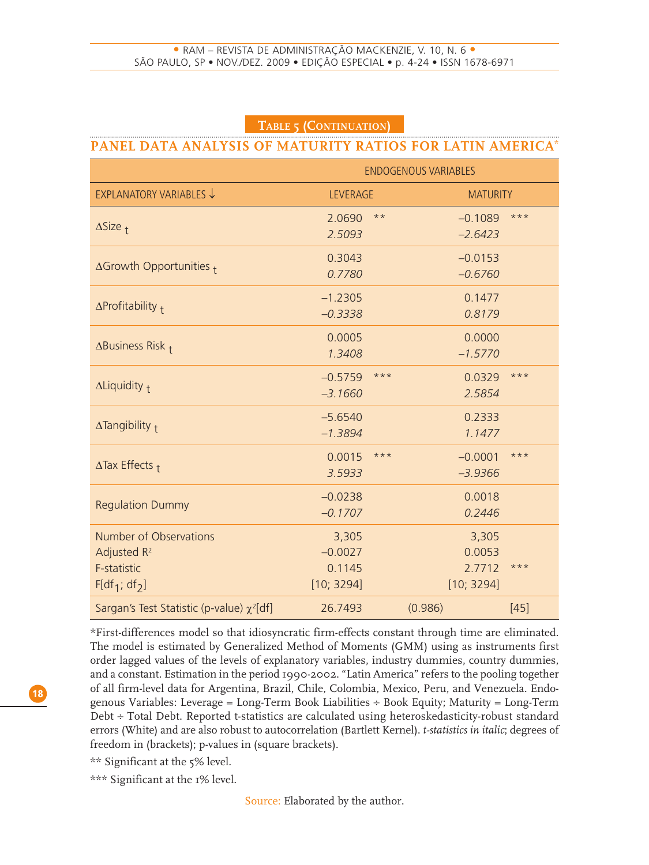#### **TABLE 5 (CONTINUATION)**

#### **PANEL DATA ANALYSIS OF MATURITY RATIOS FOR LATIN AMERICA\***

|                                                                                     | <b>ENDOGENOUS VARIABLES</b>                |                                         |        |  |  |  |
|-------------------------------------------------------------------------------------|--------------------------------------------|-----------------------------------------|--------|--|--|--|
| EXPLANATORY VARIABLES ↓                                                             | <b>LEVERAGE</b>                            | <b>MATURITY</b>                         |        |  |  |  |
| $\Delta$ Size $_1$                                                                  | $\star\star$<br>2.0690<br>2.5093           | $-0.1089$<br>$-2.6423$                  | $***$  |  |  |  |
| $\Delta$ Growth Opportunities $_1$                                                  | 0.3043<br>0.7780                           | $-0.0153$<br>$-0.6760$                  |        |  |  |  |
| $\Delta$ Profitability +                                                            | $-1.2305$<br>$-0.3338$                     | 0.1477<br>0.8179                        |        |  |  |  |
| $\Delta$ Business Risk $_{\dagger}$                                                 | 0.0005<br>1.3408                           | 0.0000<br>$-1.5770$                     |        |  |  |  |
| $\Delta$ Liquidity $_{\dagger}$                                                     | $-0.5759$<br>***<br>$-3.1660$              | 0.0329<br>2.5854                        | $***$  |  |  |  |
| $\Delta$ Tangibility +                                                              | $-5.6540$<br>$-1.3894$                     | 0.2333<br>1.1477                        |        |  |  |  |
| $\Delta$ Tax Effects $_1$                                                           | 0.0015<br>$***$<br>3.5933                  | $-0.0001$<br>$-3.9366$                  | $***$  |  |  |  |
| <b>Regulation Dummy</b>                                                             | $-0.0238$<br>$-0.1707$                     | 0.0018<br>0.2446                        |        |  |  |  |
| Number of Observations<br>Adjusted R <sup>2</sup><br>F-statistic<br>$F[df_1; df_2]$ | 3,305<br>$-0.0027$<br>0.1145<br>[10; 3294] | 3,305<br>0.0053<br>2.7712<br>[10; 3294] | $***$  |  |  |  |
| Sargan's Test Statistic (p-value) $\chi^2$ [df]                                     | 26.7493                                    | (0.986)                                 | $[45]$ |  |  |  |

\*First-differences model so that idiosyncratic firm-effects constant through time are eliminated. The model is estimated by Generalized Method of Moments (GMM) using as instruments first order lagged values of the levels of explanatory variables, industry dummies, country dummies, and a constant. Estimation in the period 1990-2002. "Latin America" refers to the pooling together of all firm-level data for Argentina, Brazil, Chile, Colombia, Mexico, Peru, and Venezuela. Endogenous Variables: Leverage = Long-Term Book Liabilities ÷ Book Equity; Maturity = Long-Term Debt ÷ Total Debt. Reported t-statistics are calculated using heteroskedasticity-robust standard errors (White) and are also robust to autocorrelation (Bartlett Kernel). *t-statistics in italic*; degrees of freedom in (brackets); p-values in (square brackets).

\*\* Significant at the 5% level.

\*\*\* Significant at the 1% level.

Source: Elaborated by the author.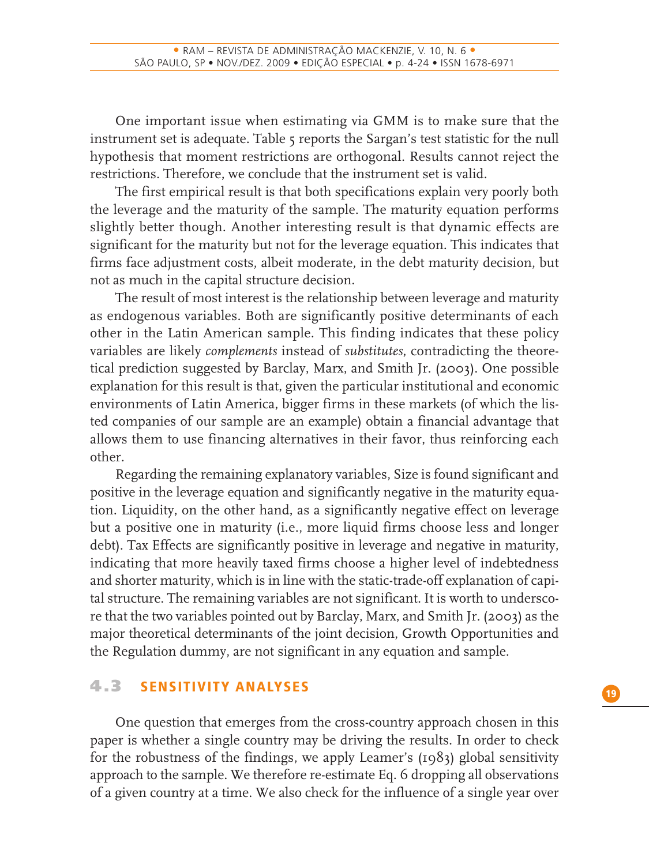One important issue when estimating via GMM is to make sure that the instrument set is adequate. Table 5 reports the Sargan's test statistic for the null hypothesis that moment restrictions are orthogonal. Results cannot reject the restrictions. Therefore, we conclude that the instrument set is valid.

The first empirical result is that both specifications explain very poorly both the leverage and the maturity of the sample. The maturity equation performs slightly better though. Another interesting result is that dynamic effects are significant for the maturity but not for the leverage equation. This indicates that firms face adjustment costs, albeit moderate, in the debt maturity decision, but not as much in the capital structure decision.

The result of most interest is the relationship between leverage and maturity as endogenous variables. Both are significantly positive determinants of each other in the Latin American sample. This finding indicates that these policy variables are likely *complements* instead of *substitutes*, contradicting the theoretical prediction suggested by Barclay, Marx, and Smith Jr. (2003). One possible explanation for this result is that, given the particular institutional and economic environments of Latin America, bigger firms in these markets (of which the listed companies of our sample are an example) obtain a financial advantage that allows them to use financing alternatives in their favor, thus reinforcing each other.

Regarding the remaining explanatory variables, Size is found significant and positive in the leverage equation and significantly negative in the maturity equation. Liquidity, on the other hand, as a significantly negative effect on leverage but a positive one in maturity (i.e., more liquid firms choose less and longer debt). Tax Effects are significantly positive in leverage and negative in maturity, indicating that more heavily taxed firms choose a higher level of indebtedness and shorter maturity, which is in line with the static-trade-off explanation of capital structure. The remaining variables are not significant. It is worth to underscore that the two variables pointed out by Barclay, Marx, and Smith Jr. (2003) as the major theoretical determinants of the joint decision, Growth Opportunities and the Regulation dummy, are not significant in any equation and sample.

#### **4.3 SENSITIVITY ANALYSES**

One question that emerges from the cross-country approach chosen in this paper is whether a single country may be driving the results. In order to check for the robustness of the findings, we apply Leamer's (1983) global sensitivity approach to the sample. We therefore re-estimate Eq. 6 dropping all observations of a given country at a time. We also check for the influence of a single year over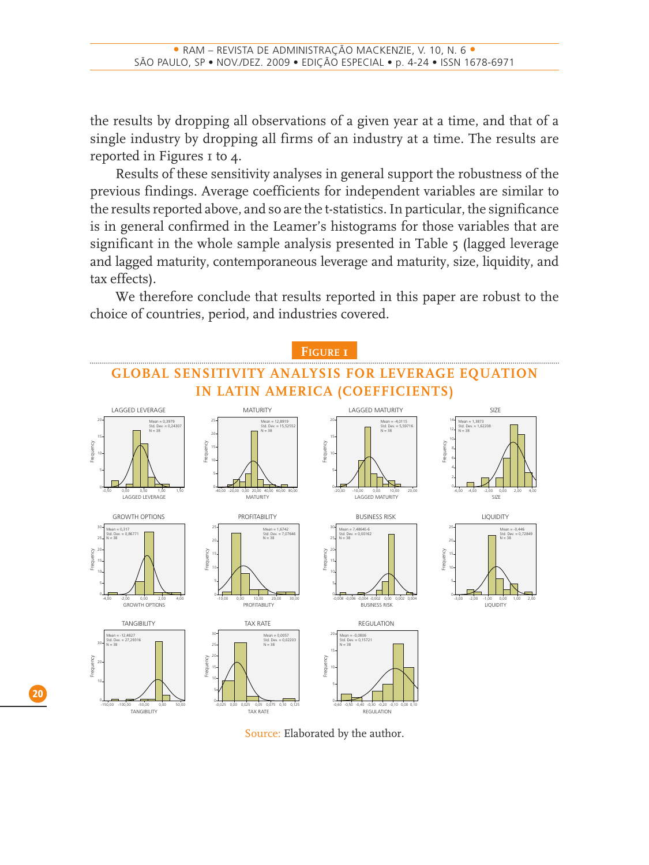the results by dropping all observations of a given year at a time, and that of a single industry by dropping all firms of an industry at a time. The results are reported in Figures 1 to 4.

Results of these sensitivity analyses in general support the robustness of the previous findings. Average coefficients for independent variables are similar to the results reported above, and so are the t-statistics. In particular, the significance is in general confirmed in the Leamer's histograms for those variables that are significant in the whole sample analysis presented in Table 5 (lagged leverage and lagged maturity, contemporaneous leverage and maturity, size, liquidity, and tax effects).

We therefore conclude that results reported in this paper are robust to the choice of countries, period, and industries covered.



Source: Elaborated by the author.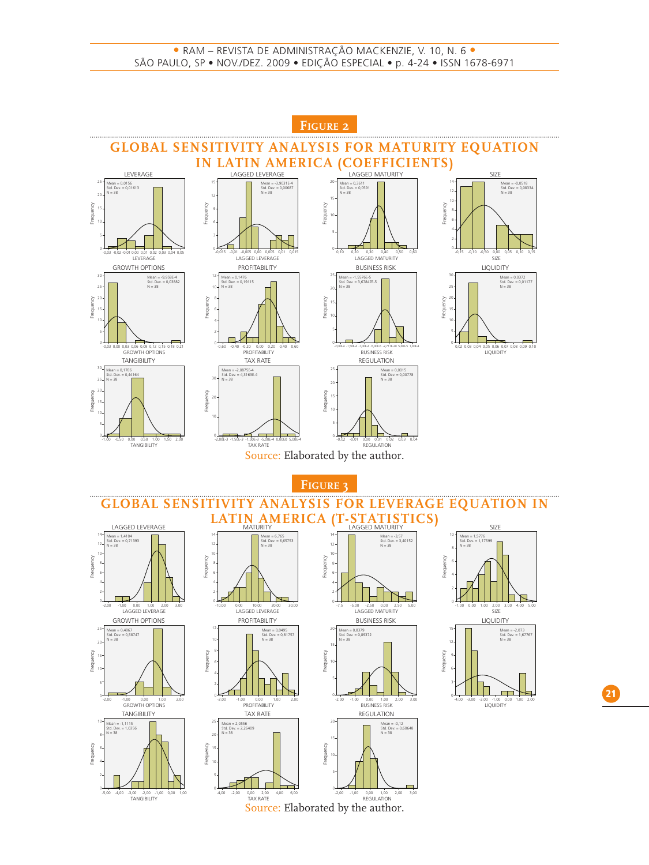

Source: Elaborated by the author.

**21**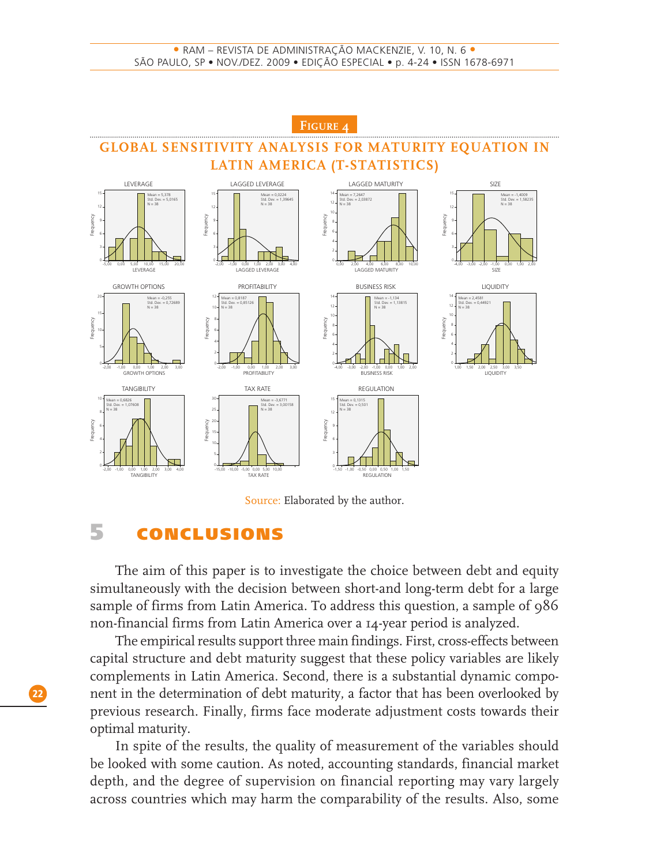

#### Source: Elaborated by the author.

# **5 CONCLUSIONS**

The aim of this paper is to investigate the choice between debt and equity simultaneously with the decision between short-and long-term debt for a large sample of firms from Latin America. To address this question, a sample of 986 non-financial firms from Latin America over a 14-year period is analyzed.

The empirical results support three main findings. First, cross-effects between capital structure and debt maturity suggest that these policy variables are likely complements in Latin America. Second, there is a substantial dynamic component in the determination of debt maturity, a factor that has been overlooked by previous research. Finally, firms face moderate adjustment costs towards their optimal maturity.

In spite of the results, the quality of measurement of the variables should be looked with some caution. As noted, accounting standards, financial market depth, and the degree of supervision on financial reporting may vary largely across countries which may harm the comparability of the results. Also, some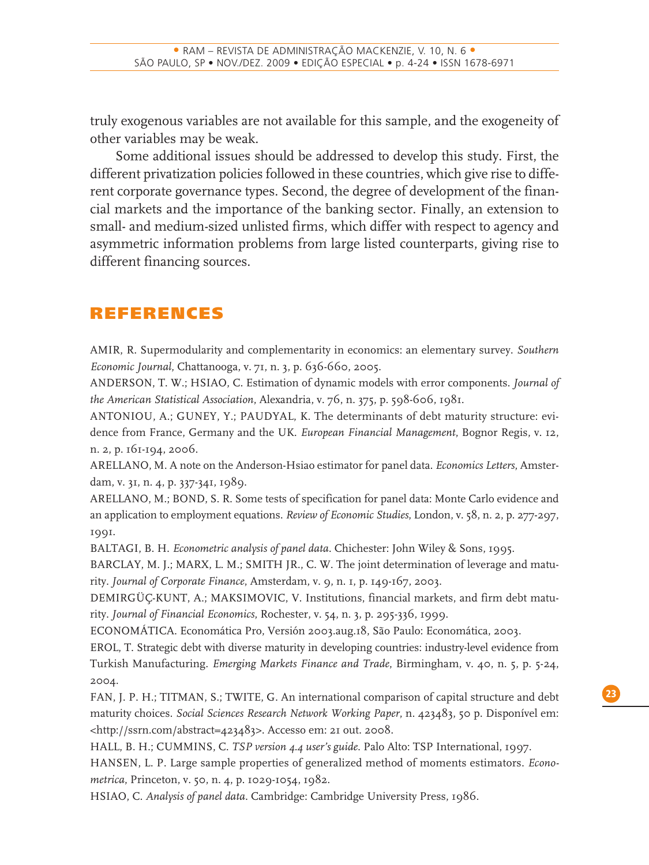truly exogenous variables are not available for this sample, and the exogeneity of other variables may be weak.

Some additional issues should be addressed to develop this study. First, the different privatization policies followed in these countries, which give rise to different corporate governance types. Second, the degree of development of the financial markets and the importance of the banking sector. Finally, an extension to small- and medium-sized unlisted firms, which differ with respect to agency and asymmetric information problems from large listed counterparts, giving rise to different financing sources.

# **REFERENCES**

AMIR, R. Supermodularity and complementarity in economics: an elementary survey. *Southern Economic Journal*, Chattanooga, v. 71, n. 3, p. 636-660, 2005.

ANDERSON, T. W.; HSIAO, C. Estimation of dynamic models with error components. *Journal of the American Statistical Association*, Alexandria, v. 76, n. 375, p. 598-606, 1981.

ANTONIOU, A.; GUNEY, Y.; PAUDYAL, K. The determinants of debt maturity structure: evidence from France, Germany and the UK. *European Financial Management*, Bognor Regis, v. 12, n. 2, p. 161-194, 2006.

ARELLANO, M. A note on the Anderson-Hsiao estimator for panel data. *Economics Letters*, Amsterdam, v. 31, n. 4, p. 337-341, 1989.

ARELLANO, M.; BOND, S. R. Some tests of specification for panel data: Monte Carlo evidence and an application to employment equations. *Review of Economic Studies*, London, v. 58, n. 2, p. 277-297, 1991.

BALTAGI, B. H. *Econometric analysis of panel data*. Chichester: John Wiley & Sons, 1995.

BARCLAY, M. J.; MARX, L. M.; SMITH JR., C. W. The joint determination of leverage and maturity. *Journal of Corporate Finance*, Amsterdam, v. 9, n. 1, p. 149-167, 2003.

DEMIRGÜÇ-KUNT, A.; MAKSIMOVIC, V. Institutions, financial markets, and firm debt maturity. *Journal of Financial Economics*, Rochester, v. 54, n. 3, p. 295-336, 1999.

ECONOMÁTICA. Economática Pro, Versión 2003.aug.18, São Paulo: Economática, 2003.

EROL, T. Strategic debt with diverse maturity in developing countries: industry-level evidence from Turkish Manufacturing. *Emerging Markets Finance and Trade*, Birmingham, v. 40, n. 5, p. 5-24, 2004.

FAN, J. P. H.; TITMAN, S.; TWITE, G. An international comparison of capital structure and debt maturity choices. *Social Sciences Research Network Working Paper*, n. 423483, 50 p. Disponível em: <http://ssrn.com/abstract=423483>. Accesso em: 21 out. 2008.

HALL, B. H.; CUMMINS, C. *TSP version 4.4 user's guide*. Palo Alto: TSP International, 1997.

HANSEN, L. P. Large sample properties of generalized method of moments estimators. *Econometrica*, Princeton, v. 50, n. 4, p. 1029-1054, 1982.

HSIAO, C. *Analysis of panel data*. Cambridge: Cambridge University Press, 1986.